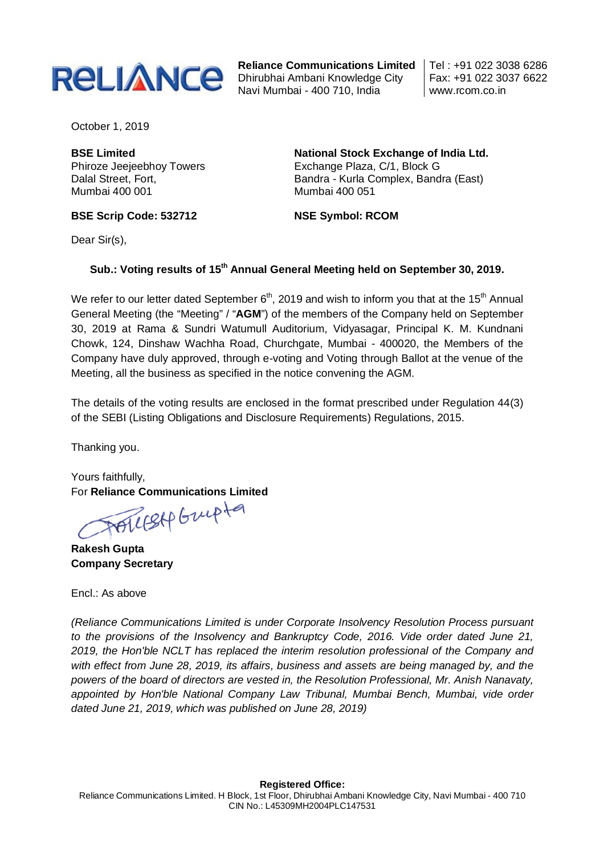

**Reliance Communications Limited** Dhirubhai Ambani Knowledge City Navi Mumbai - 400 710, India

Tel : +91 022 3038 6286 Fax: +91 022 3037 6622 www.rcom.co.in

October 1, 2019

**BSE Limited** Phiroze Jeejeebhoy Towers Dalal Street, Fort, Mumbai 400 001

**National Stock Exchange of India Ltd.** Exchange Plaza, C/1, Block G Bandra - Kurla Complex, Bandra (East) Mumbai 400 051

**BSE Scrip Code: 532712**

**NSE Symbol: RCOM**

Dear Sir(s).

## **Sub.: Voting results of 15th Annual General Meeting held on September 30, 2019.**

We refer to our letter dated September  $6<sup>th</sup>$ , 2019 and wish to inform you that at the 15<sup>th</sup> Annual General Meeting (the "Meeting" / "**AGM**") of the members of the Company held on September 30, 2019 at Rama & Sundri Watumull Auditorium, Vidyasagar, Principal K. M. Kundnani Chowk, 124, Dinshaw Wachha Road, Churchgate, Mumbai - 400020, the Members of the Company have duly approved, through e-voting and Voting through Ballot at the venue of the Meeting, all the business as specified in the notice convening the AGM.

The details of the voting results are enclosed in the format prescribed under Regulation 44(3) of the SEBI (Listing Obligations and Disclosure Requirements) Regulations, 2015.

Thanking you.

Yours faithfully,

For Reliance Communications Limited<br>
TOULER GULP

**Rakesh Gupta Company Secretary** 

Encl.: As above

*(Reliance Communications Limited is under Corporate Insolvency Resolution Process pursuant to the provisions of the Insolvency and Bankruptcy Code, 2016. Vide order dated June 21, 2019, the Hon'ble NCLT has replaced the interim resolution professional of the Company and with effect from June 28, 2019, its affairs, business and assets are being managed by, and the powers of the board of directors are vested in, the Resolution Professional, Mr. Anish Nanavaty, appointed by Hon'ble National Company Law Tribunal, Mumbai Bench, Mumbai, vide order dated June 21, 2019, which was published on June 28, 2019)*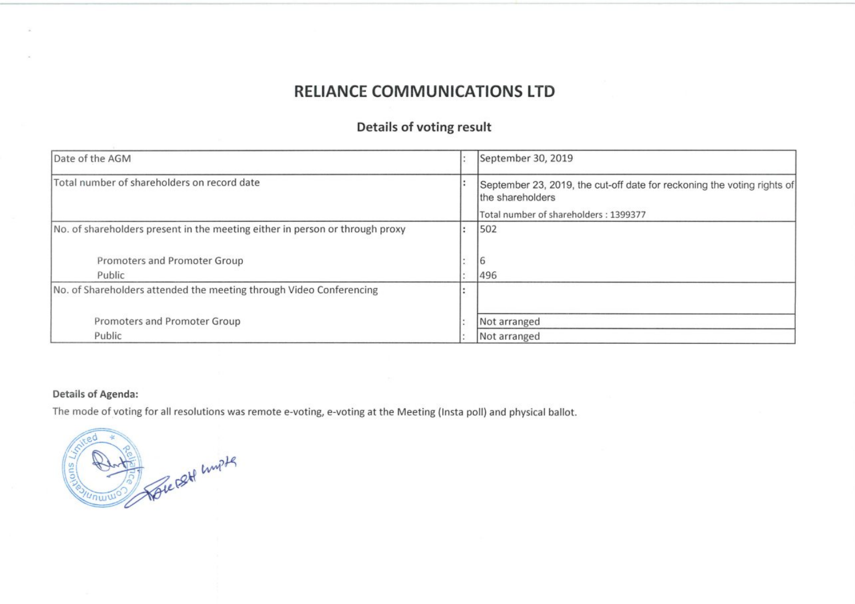## **RELIANCE COMMUNICATIONS LTD**

## **Details of voting result**

| Date of the AGM                                                              | September 30, 2019                                                                          |
|------------------------------------------------------------------------------|---------------------------------------------------------------------------------------------|
| Total number of shareholders on record date                                  | September 23, 2019, the cut-off date for reckoning the voting rights of<br>the shareholders |
|                                                                              | Total number of shareholders: 1399377                                                       |
| No. of shareholders present in the meeting either in person or through proxy | 502                                                                                         |
|                                                                              |                                                                                             |
| Promoters and Promoter Group                                                 | 6                                                                                           |
| Public                                                                       | 496                                                                                         |
| No. of Shareholders attended the meeting through Video Conferencing          |                                                                                             |
|                                                                              |                                                                                             |
| Promoters and Promoter Group                                                 | Not arranged                                                                                |
| Public                                                                       | Not arranged                                                                                |

## **Details of Agenda:**

The mode of voting for all resolutions was remote e-voting, e-voting at the Meeting (Insta poll) and physical ballot.

Sole set unpts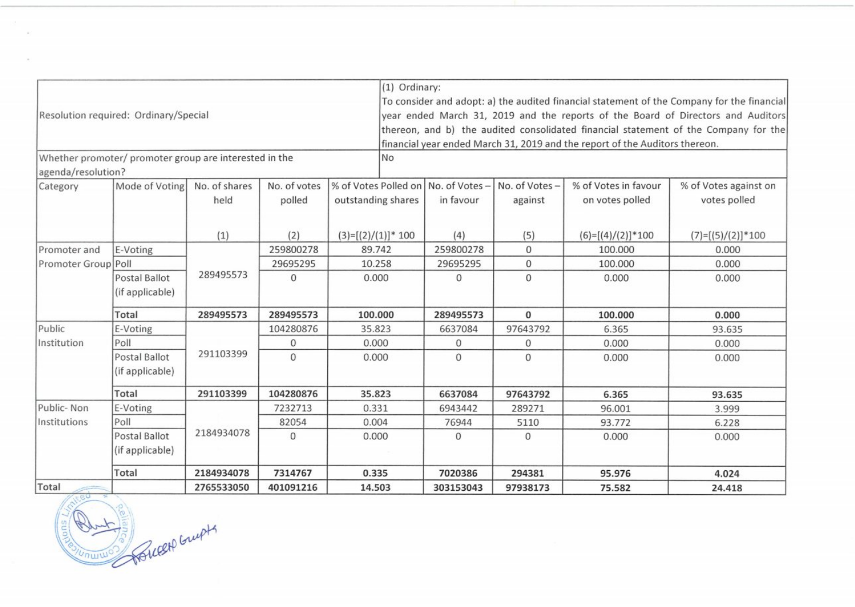|                     |                                                        |               |              | (1) Ordinary:                         |                                                                                            |               |                                                                             |                                                                                     |  |  |  |
|---------------------|--------------------------------------------------------|---------------|--------------|---------------------------------------|--------------------------------------------------------------------------------------------|---------------|-----------------------------------------------------------------------------|-------------------------------------------------------------------------------------|--|--|--|
|                     |                                                        |               |              |                                       | To consider and adopt: a) the audited financial statement of the Company for the financial |               |                                                                             |                                                                                     |  |  |  |
|                     | Resolution required: Ordinary/Special                  |               |              |                                       |                                                                                            |               |                                                                             | year ended March 31, 2019 and the reports of the Board of Directors and Auditors    |  |  |  |
|                     |                                                        |               |              |                                       |                                                                                            |               |                                                                             | thereon, and b) the audited consolidated financial statement of the Company for the |  |  |  |
|                     |                                                        |               |              |                                       |                                                                                            |               | financial year ended March 31, 2019 and the report of the Auditors thereon. |                                                                                     |  |  |  |
| agenda/resolution?  | Whether promoter/ promoter group are interested in the |               |              | <b>No</b>                             |                                                                                            |               |                                                                             |                                                                                     |  |  |  |
| Category            | Mode of Voting                                         | No. of shares | No. of votes | % of Votes Polled on   No. of Votes - |                                                                                            | No. of Votes- | % of Votes in favour                                                        | % of Votes against on                                                               |  |  |  |
|                     |                                                        | held          | polled       | outstanding shares                    | in favour                                                                                  | against       | on votes polled                                                             | votes polled                                                                        |  |  |  |
|                     |                                                        | (1)           | (2)          | $(3)=[(2)/(1)]*100$                   | (4)                                                                                        | (5)           | $(6)=[(4)/(2)]*100$                                                         | $(7)=[(5)/(2)]*100$                                                                 |  |  |  |
| Promoter and        | E-Voting                                               |               | 259800278    | 89.742                                | 259800278                                                                                  | $\mathbf 0$   | 100.000                                                                     | 0.000                                                                               |  |  |  |
| Promoter Group Poll |                                                        |               | 29695295     | 10.258                                | 29695295                                                                                   | 0             | 100.000                                                                     | 0.000                                                                               |  |  |  |
|                     | Postal Ballot<br>(if applicable)                       | 289495573     | $\Omega$     | 0.000                                 | 0                                                                                          | $\mathbf{O}$  | 0.000                                                                       | 0.000                                                                               |  |  |  |
|                     | Total                                                  | 289495573     | 289495573    | 100.000                               | 289495573                                                                                  | $\bf{0}$      | 100.000                                                                     | 0.000                                                                               |  |  |  |
| Public              | E-Voting                                               |               | 104280876    | 35.823                                | 6637084                                                                                    | 97643792      | 6.365                                                                       | 93.635                                                                              |  |  |  |
| Institution         | Poll                                                   |               | 0            | 0.000                                 | 0                                                                                          | 0             | 0.000                                                                       | 0.000                                                                               |  |  |  |
|                     | Postal Ballot<br>(if applicable)                       | 291103399     | $\mathbf{0}$ | 0.000                                 | 0                                                                                          | 0             | 0.000                                                                       | 0.000                                                                               |  |  |  |
|                     | <b>Total</b>                                           | 291103399     | 104280876    | 35.823                                | 6637084                                                                                    | 97643792      | 6.365                                                                       | 93.635                                                                              |  |  |  |
| Public-Non          | E-Voting                                               |               | 7232713      | 0.331                                 | 6943442                                                                                    | 289271        | 96.001                                                                      | 3.999                                                                               |  |  |  |
| Institutions        | Poll                                                   |               | 82054        | 0.004                                 | 76944                                                                                      | 5110          | 93.772                                                                      | 6.228                                                                               |  |  |  |
|                     | Postal Ballot<br>(if applicable)                       | 2184934078    | $\mathbf 0$  | 0.000                                 | $\mathbf{O}$                                                                               | 0             | 0.000                                                                       | 0.000                                                                               |  |  |  |
|                     | Total                                                  | 2184934078    | 7314767      | 0.335                                 | 7020386                                                                                    | 294381        | 95.976                                                                      | 4.024                                                                               |  |  |  |
| Total               |                                                        | 2765533050    | 401091216    | 14.503                                | 303153043                                                                                  | 97938173      | 75.582                                                                      | 24.418                                                                              |  |  |  |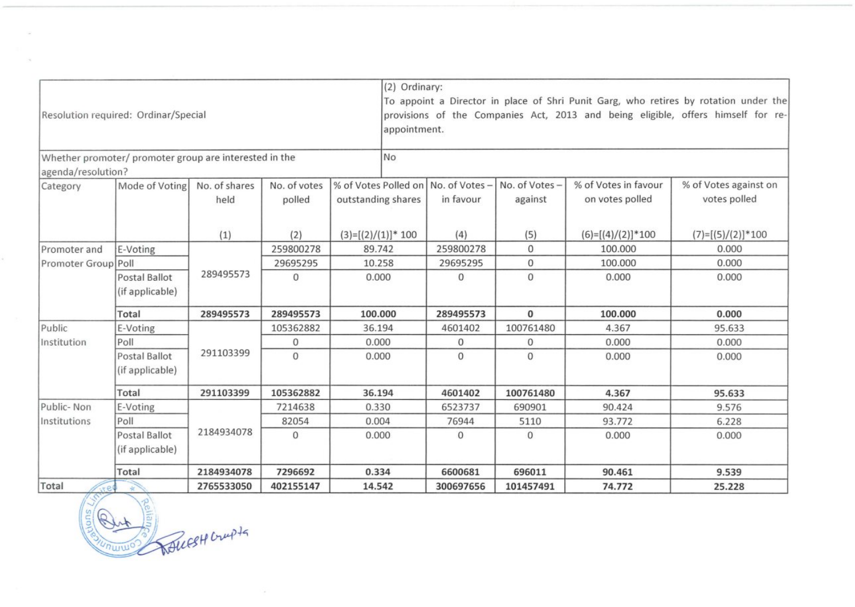| Resolution required: Ordinar/Special |                                                        |               |              |                                               | (2) Ordinary:<br>To appoint a Director in place of Shri Punit Garg, who retires by rotation under the<br>provisions of the Companies Act, 2013 and being eligible, offers himself for re-<br>appointment. |                                     |               |                      |                       |  |
|--------------------------------------|--------------------------------------------------------|---------------|--------------|-----------------------------------------------|-----------------------------------------------------------------------------------------------------------------------------------------------------------------------------------------------------------|-------------------------------------|---------------|----------------------|-----------------------|--|
|                                      | Whether promoter/ promoter group are interested in the |               |              |                                               | <b>No</b>                                                                                                                                                                                                 |                                     |               |                      |                       |  |
| agenda/resolution?                   |                                                        |               |              |                                               |                                                                                                                                                                                                           |                                     |               |                      |                       |  |
| Category                             | Mode of Voting                                         | No. of shares | No. of votes |                                               |                                                                                                                                                                                                           | % of Votes Polled on No. of Votes - | No. of Votes- | % of Votes in favour | % of Votes against on |  |
|                                      |                                                        | held          | polled       | outstanding shares<br>$(3)=[(2)/(1)]^{*}$ 100 |                                                                                                                                                                                                           | in favour                           | against       | on votes polled      | votes polled          |  |
|                                      |                                                        | (1)           | (2)          |                                               |                                                                                                                                                                                                           | (4)                                 | (5)           | $(6)=[(4)/(2)]*100$  | $(7)=[(5)/(2)]*100$   |  |
| Promoter and                         | E-Voting                                               |               | 259800278    | 89.742                                        |                                                                                                                                                                                                           | 259800278                           | $\mathbf{0}$  | 100.000              | 0.000                 |  |
| Promoter Group Poll                  |                                                        |               | 29695295     | 10.258                                        |                                                                                                                                                                                                           | 29695295                            | $\mathbf 0$   | 100.000              | 0.000                 |  |
|                                      | Postal Ballot<br>(if applicable)                       | 289495573     | $\mathbf{0}$ | 0.000<br>100.000                              |                                                                                                                                                                                                           | 0                                   | $\mathbf{0}$  | 0.000                | 0.000                 |  |
|                                      | Total                                                  | 289495573     | 289495573    |                                               |                                                                                                                                                                                                           | 289495573                           | $\bf{0}$      | 100.000              | 0.000                 |  |
| Public                               | E-Voting                                               |               | 105362882    | 36.194                                        |                                                                                                                                                                                                           | 4601402                             | 100761480     | 4.367                | 95.633                |  |
| Institution                          | Poll                                                   |               | $\mathbf 0$  | 0.000                                         |                                                                                                                                                                                                           | 0                                   | $\mathbf{0}$  | 0.000                | 0.000                 |  |
|                                      | Postal Ballot<br>(if applicable)                       | 291103399     | $\mathbf{O}$ | 0.000                                         |                                                                                                                                                                                                           | $\Omega$                            | $\mathbf{0}$  | 0.000                | 0.000                 |  |
|                                      | Total                                                  | 291103399     | 105362882    | 36.194                                        |                                                                                                                                                                                                           | 4601402                             | 100761480     | 4.367                | 95.633                |  |
| Public-Non                           | E-Voting                                               |               | 7214638      |                                               | 0.330                                                                                                                                                                                                     |                                     | 690901        | 90.424               | 9.576                 |  |
| Institutions                         | Poll                                                   |               | 82054        | 0.004                                         |                                                                                                                                                                                                           | 76944                               | 5110          | 93.772               | 6.228                 |  |
|                                      | Postal Ballot<br>(if applicable)                       | 2184934078    | $\mathbf{0}$ | 0.000                                         |                                                                                                                                                                                                           | $\mathbf{0}$                        | $\Omega$      | 0.000                | 0.000                 |  |
|                                      | Total                                                  | 2184934078    | 7296692      | 0.334                                         |                                                                                                                                                                                                           | 6600681                             | 696011        | 90.461               | 9.539                 |  |
| Total                                |                                                        | 2765533050    | 402155147    | 14.542                                        |                                                                                                                                                                                                           | 300697656                           | 101457491     | 74.772               | 25.228                |  |

**FOR COLLECT COULD** 

 $\sim$ 

MUINO

÷.

 $\epsilon$